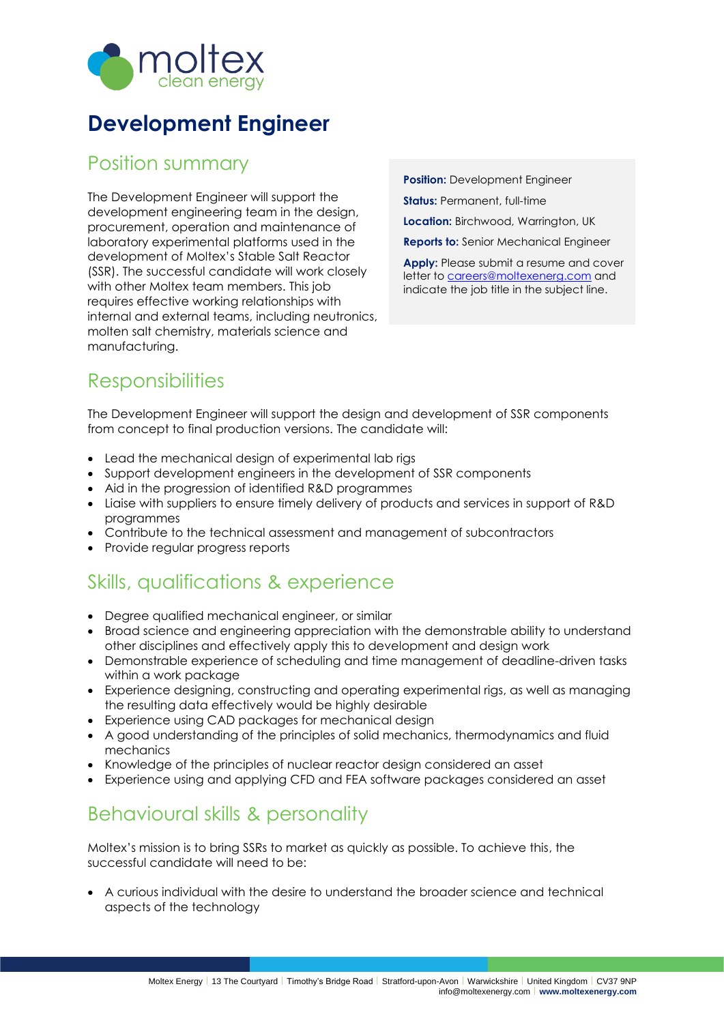

# **Development Engineer**

#### Position summary

The Development Engineer will support the development engineering team in the design, procurement, operation and maintenance of laboratory experimental platforms used in the development of Moltex's Stable Salt Reactor (SSR). The successful candidate will work closely with other Moltex team members. This job requires effective working relationships with internal and external teams, including neutronics, molten salt chemistry, materials science and manufacturing.

**Position:** Development Engineer **Status:** Permanent, full-time **Location:** Birchwood, Warrington, UK **Reports to:** Senior Mechanical Engineer

**Apply:** Please submit a resume and cover letter to [careers@moltexenerg.com](mailto:careers@moltexenerg.com) and indicate the job title in the subject line.

## **Responsibilities**

The Development Engineer will support the design and development of SSR components from concept to final production versions. The candidate will:

- Lead the mechanical design of experimental lab rigs
- Support development engineers in the development of SSR components
- Aid in the progression of identified R&D programmes
- Liaise with suppliers to ensure timely delivery of products and services in support of R&D programmes
- Contribute to the technical assessment and management of subcontractors
- Provide regular progress reports

### Skills, qualifications & experience

- Degree qualified mechanical engineer, or similar
- Broad science and engineering appreciation with the demonstrable ability to understand other disciplines and effectively apply this to development and design work
- Demonstrable experience of scheduling and time management of deadline-driven tasks within a work package
- Experience designing, constructing and operating experimental rigs, as well as managing the resulting data effectively would be highly desirable
- Experience using CAD packages for mechanical design
- A good understanding of the principles of solid mechanics, thermodynamics and fluid mechanics
- Knowledge of the principles of nuclear reactor design considered an asset
- Experience using and applying CFD and FEA software packages considered an asset

### Behavioural skills & personality

Moltex's mission is to bring SSRs to market as quickly as possible. To achieve this, the successful candidate will need to be:

• A curious individual with the desire to understand the broader science and technical aspects of the technology